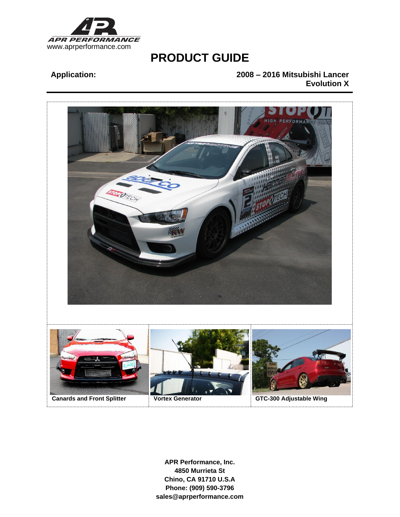

# **Application: 2008 – 2016 Mitsubishi Lancer Evolution X**

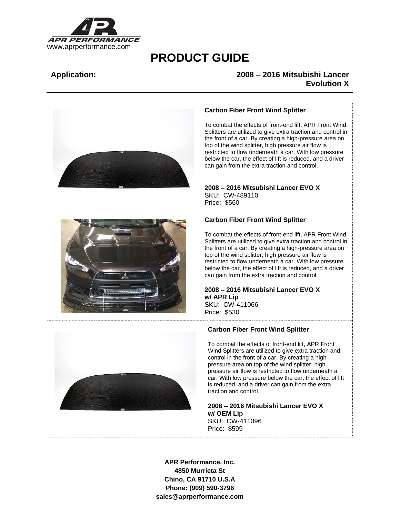

## **Application: 2008 – 2016 Mitsubishi Lancer Evolution X**



### **Carbon Fiber Front Wind Splitter**

To combat the effects of front-end lift, APR Front Wind Splitters are utilized to give extra traction and control in the front of a car. By creating a high-pressure area on top of the wind splitter, high pressure air flow is restricted to flow underneath a car. With low pressure below the car, the effect of lift is reduced, and a driver can gain from the extra traction and control.

# **2008 – 2016 Mitsubishi Lancer EVO X** SKU: CW-489110

Price: \$560

## **Carbon Fiber Front Wind Splitter**

To combat the effects of front-end lift, APR Front Wind Splitters are utilized to give extra traction and control in the front of a car. By creating a high-pressure area on top of the wind splitter, high pressure air flow is restricted to flow underneath a car. With low pressure below the car, the effect of lift is reduced, and a driver can gain from the extra traction and control.

### **2008 – 2016 Mitsubishi Lancer EVO X w/ APR Lip** SKU: CW-411066

Price: \$530



### **Carbon Fiber Front Wind Splitter**

To combat the effects of front-end lift, APR Front Wind Splitters are utilized to give extra traction and control in the front of a car. By creating a highpressure area on top of the wind splitter, high pressure air flow is restricted to flow underneath a car. With low pressure below the car, the effect of lift is reduced, and a driver can gain from the extra traction and control.

**2008 – 2016 Mitsubishi Lancer EVO X w/ OEM Lip** SKU: CW-411096 Price: \$599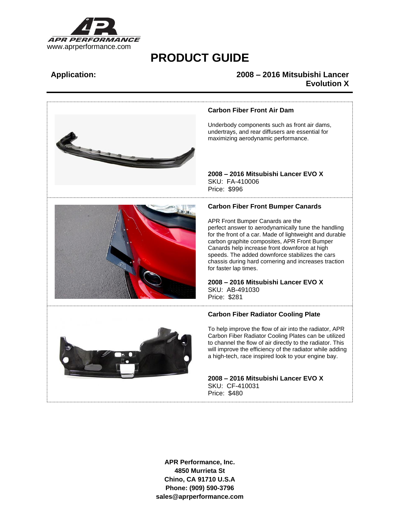

## **Application: 2008 – 2016 Mitsubishi Lancer Evolution X**

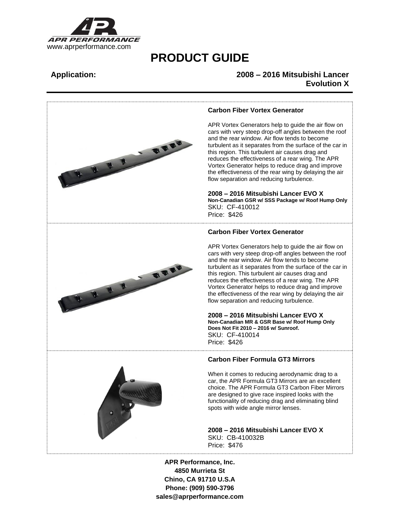

## **Application: 2008 – 2016 Mitsubishi Lancer Evolution X**



### **Carbon Fiber Vortex Generator**

APR Vortex Generators help to guide the air flow on cars with very steep drop-off angles between the roof and the rear window. Air flow tends to become turbulent as it separates from the surface of the car in this region. This turbulent air causes drag and reduces the effectiveness of a rear wing. The APR Vortex Generator helps to reduce drag and improve the effectiveness of the rear wing by delaying the air flow separation and reducing turbulence.

**2008 – 2016 Mitsubishi Lancer EVO X Non-Canadian GSR w/ SSS Package w/ Roof Hump Only** SKU: CF-410012

### **Carbon Fiber Vortex Generator**

APR Vortex Generators help to guide the air flow on cars with very steep drop-off angles between the roof and the rear window. Air flow tends to become turbulent as it separates from the surface of the car in this region. This turbulent air causes drag and reduces the effectiveness of a rear wing. The APR Vortex Generator helps to reduce drag and improve the effectiveness of the rear wing by delaying the air flow separation and reducing turbulence.

**2008 – 2016 Mitsubishi Lancer EVO X Non-Canadian MR & GSR Base w/ Roof Hump Only Does Not Fit 2010 – 2016 w/ Sunroof.** SKU: CF-410014

### **Carbon Fiber Formula GT3 Mirrors**

When it comes to reducing aerodynamic drag to a car, the APR Formula GT3 Mirrors are an excellent choice. The APR Formula GT3 Carbon Fiber Mirrors are designed to give race inspired looks with the functionality of reducing drag and eliminating blind spots with wide angle mirror lenses.

**2008 – 2016 Mitsubishi Lancer EVO X** SKU: CB-410032B

**4850 Murrieta St Chino, CA 91710 U.S.A Phone: (909) 590-3796 sales@aprperformance.com**